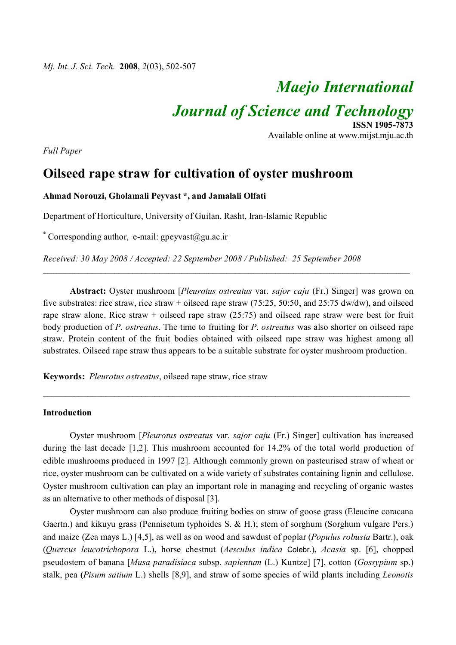# *Maejo International*

Available online at www.mijst.mju.ac.th

**ISSN 1905-7873**

*Journal of Science and Technology*

*Full Paper*

# **Oilseed rape straw for cultivation of oyster mushroom**

# **Ahmad Norouzi, Gholamali Peyvast \*, and Jamalali Olfati**

Department of Horticulture, University of Guilan, Rasht, Iran-Islamic Republic

\* Corresponding author, e-mail: gpeyvast@gu.ac.ir

*Received: 30 May 2008 / Accepted: 22 September 2008 / Published: 25 September 2008*

**Abstract:** Oyster mushroom [*Pleurotus ostreatus* var. *sajor caju* (Fr.) Singer] was grown on five substrates: rice straw, rice straw + oilseed rape straw (75:25, 50:50, and 25:75 dw/dw), and oilseed rape straw alone. Rice straw + oilseed rape straw  $(25:75)$  and oilseed rape straw were best for fruit body production of *P*. *ostreatus*. The time to fruiting for *P*. *ostreatus* was also shorter on oilseed rape straw. Protein content of the fruit bodies obtained with oilseed rape straw was highest among all substrates. Oilseed rape straw thus appears to be a suitable substrate for oyster mushroom production.

\_\_\_\_\_\_\_\_\_\_\_\_\_\_\_\_\_\_\_\_\_\_\_\_\_\_\_\_\_\_\_\_\_\_\_\_\_\_\_\_\_\_\_\_\_\_\_\_\_\_\_\_\_\_\_\_\_\_\_\_\_\_\_\_\_\_\_\_\_\_\_\_\_\_\_\_\_\_\_\_\_\_

\_\_\_\_\_\_\_\_\_\_\_\_\_\_\_\_\_\_\_\_\_\_\_\_\_\_\_\_\_\_\_\_\_\_\_\_\_\_\_\_\_\_\_\_\_\_\_\_\_\_\_\_\_\_\_\_\_\_\_\_\_\_\_\_\_\_\_\_\_\_\_\_\_\_\_\_\_\_\_\_\_\_

**Keywords:** *Pleurotus ostreatus*, oilseed rape straw, rice straw

## **Introduction**

Oyster mushroom [*Pleurotus ostreatus* var. *sajor caju* (Fr.) Singer] cultivation has increased during the last decade [1,2]. This mushroom accounted for 14.2% of the total world production of edible mushrooms produced in 1997 [2]. Although commonly grown on pasteurised straw of wheat or rice, oyster mushroom can be cultivated on a wide variety of substrates containing lignin and cellulose. Oyster mushroom cultivation can play an important role in managing and recycling of organic wastes as an alternative to other methods of disposal [3].

Oyster mushroom can also produce fruiting bodies on straw of goose grass (Eleucine coracana Gaertn.) and kikuyu grass (Pennisetum typhoides S. & H.); stem of sorghum (Sorghum vulgare Pers.) and maize (Zea mays L.) [4,5], as well as on wood and sawdust of poplar (*Populus robusta* Bartr.), oak (*Quercus leucotrichopora* L.), horse chestnut (*Aesculus indica* Colebr.), *Acasia* sp. [6], chopped pseudostem of banana [*Musa paradisiaca* subsp. *sapientum* (L.) Kuntze] [7], cotton (*Gossypium* sp.) stalk, pea **(***Pisum satium* L.) shells [8,9], and straw of some species of wild plants including *Leonotis*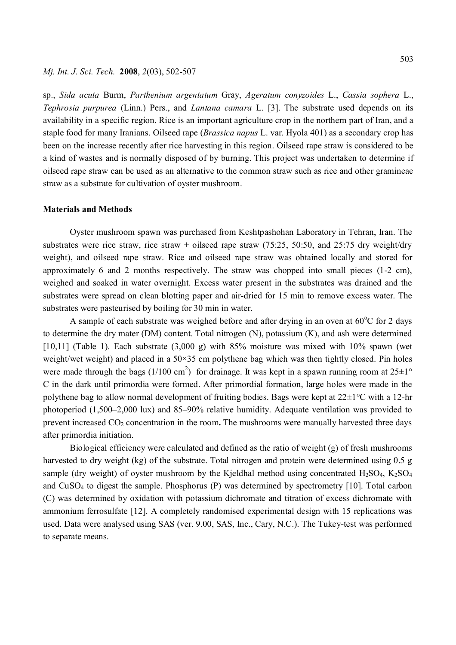# *Mj. Int. J. Sci. Tech.* **2008**, *2*(03), 502-507

sp., *Sida acuta* Burm, *Parthenium argentatum* Gray, *Ageratum conyzoides* L., *Cassia sophera* L., *Tephrosia purpurea* (Linn.) Pers., and *Lantana camara* L. [3]. The substrate used depends on its availability in a specific region. Rice is an important agriculture crop in the northern part of Iran, and a staple food for many Iranians. Oilseed rape (*Brassica napus* L. var. Hyola 401) as a secondary crop has been on the increase recently after rice harvesting in this region. Oilseed rape straw is considered to be a kind of wastes and is normally disposed of by burning. This project was undertaken to determine if oilseed rape straw can be used as an alternative to the common straw such as rice and other gramineae straw as a substrate for cultivation of oyster mushroom.

## **Materials and Methods**

Oyster mushroom spawn was purchased from Keshtpashohan Laboratory in Tehran, Iran. The substrates were rice straw, rice straw + oilseed rape straw  $(75:25, 50:50, 50:50)$  and  $25:75$  dry weight/dry weight), and oilseed rape straw. Rice and oilseed rape straw was obtained locally and stored for approximately 6 and 2 months respectively. The straw was chopped into small pieces (1-2 cm), weighed and soaked in water overnight. Excess water present in the substrates was drained and the substrates were spread on clean blotting paper and air-dried for 15 min to remove excess water. The substrates were pasteurised by boiling for 30 min in water.

A sample of each substrate was weighed before and after drying in an oven at  $60^{\circ}$ C for 2 days to determine the dry mater (DM) content. Total nitrogen (N), potassium (K), and ash were determined [10,11] (Table 1). Each substrate  $(3,000 \text{ g})$  with 85% moisture was mixed with 10% spawn (wet weight/wet weight) and placed in a 50×35 cm polythene bag which was then tightly closed. Pin holes were made through the bags (1/100 cm<sup>2</sup>) for drainage. It was kept in a spawn running room at  $25\pm1^{\circ}$ C in the dark until primordia were formed. After primordial formation, large holes were made in the polythene bag to allow normal development of fruiting bodies. Bags were kept at 22±1°C with a 12-hr photoperiod (1,500–2,000 lux) and 85–90% relative humidity. Adequate ventilation was provided to prevent increased CO2 concentration in the room**.** The mushrooms were manually harvested three days after primordia initiation.

Biological efficiency were calculated and defined as the ratio of weight (g) of fresh mushrooms harvested to dry weight (kg) of the substrate. Total nitrogen and protein were determined using 0.5 g sample (dry weight) of oyster mushroom by the Kjeldhal method using concentrated  $H_2SO_4$ , K<sub>2</sub>SO<sub>4</sub> and CuSO4 to digest the sample. Phosphorus (P) was determined by spectrometry [10]. Total carbon (C) was determined by oxidation with potassium dichromate and titration of excess dichromate with ammonium ferrosulfate [12]. A completely randomised experimental design with 15 replications was used. Data were analysed using SAS (ver. 9.00, SAS, Inc., Cary, N.C.). The Tukey-test was performed to separate means.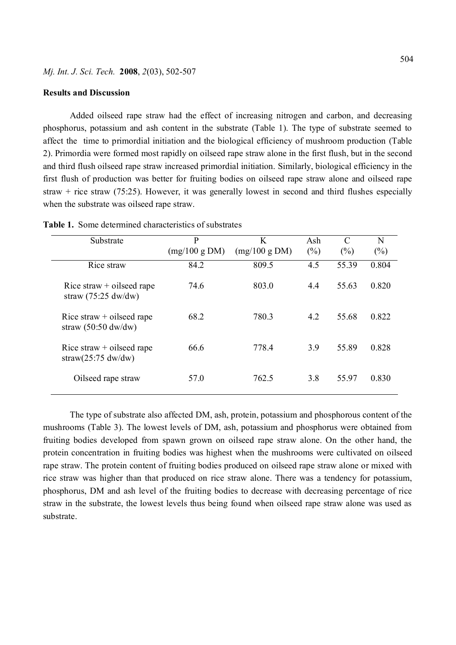#### **Results and Discussion**

Added oilseed rape straw had the effect of increasing nitrogen and carbon, and decreasing phosphorus, potassium and ash content in the substrate (Table 1). The type of substrate seemed to affect the time to primordial initiation and the biological efficiency of mushroom production (Table 2). Primordia were formed most rapidly on oilseed rape straw alone in the first flush, but in the second and third flush oilseed rape straw increased primordial initiation. Similarly, biological efficiency in the first flush of production was better for fruiting bodies on oilseed rape straw alone and oilseed rape straw + rice straw (75:25). However, it was generally lowest in second and third flushes especially when the substrate was oilseed rape straw.

| Substrate                                                           | P             | K             | Ash    | $\mathcal{C}$ | N      |
|---------------------------------------------------------------------|---------------|---------------|--------|---------------|--------|
|                                                                     | (mg/100 g DM) | (mg/100 g DM) | $(\%)$ | $(\%)$        | $(\%)$ |
| Rice straw                                                          | 84.2          | 809.5         | 4.5    | 55.39         | 0.804  |
| Rice straw $+$ oilseed rape<br>straw $(75:25 \text{ dw}/\text{dw})$ | 74.6          | 803.0         | 4.4    | 55.63         | 0.820  |
| Rice straw $+$ oilseed rape<br>straw $(50:50 \text{ dw}/\text{dw})$ | 68.2          | 780.3         | 4.2    | 55.68         | 0.822  |
| Rice straw $+$ oilseed rape<br>straw $(25:75 \text{ dw}/\text{dw})$ | 66.6          | 778.4         | 3.9    | 55.89         | 0.828  |
| Oilseed rape straw                                                  | 57.0          | 762.5         | 3.8    | 55.97         | 0.830  |

| <b>Table 1.</b> Some determined characteristics of substrates |
|---------------------------------------------------------------|
|---------------------------------------------------------------|

The type of substrate also affected DM, ash, protein, potassium and phosphorous content of the mushrooms (Table 3). The lowest levels of DM, ash, potassium and phosphorus were obtained from fruiting bodies developed from spawn grown on oilseed rape straw alone. On the other hand, the protein concentration in fruiting bodies was highest when the mushrooms were cultivated on oilseed rape straw. The protein content of fruiting bodies produced on oilseed rape straw alone or mixed with rice straw was higher than that produced on rice straw alone. There was a tendency for potassium, phosphorus, DM and ash level of the fruiting bodies to decrease with decreasing percentage of rice straw in the substrate, the lowest levels thus being found when oilseed rape straw alone was used as substrate.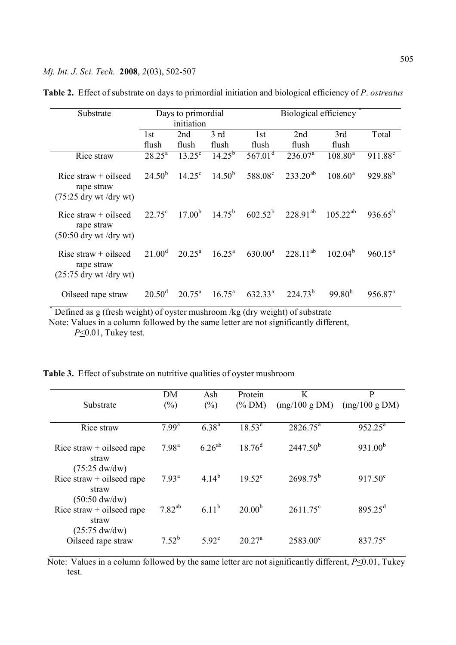| Substrate                                                        | Days to primordial<br>initiation |                    |                    | Biological efficiency                                    |                  |                 |                     |
|------------------------------------------------------------------|----------------------------------|--------------------|--------------------|----------------------------------------------------------|------------------|-----------------|---------------------|
|                                                                  |                                  |                    |                    |                                                          |                  |                 |                     |
|                                                                  | 1 <sub>st</sub>                  | 2nd                | 3rd                | 1st                                                      | 2nd              | 3rd             | Total               |
|                                                                  | flush                            | flush              | flush              | flush                                                    | flush            | flush           |                     |
| Rice straw                                                       | $28.25^{\text{a}}$               | $13.25^{\circ}$    | $14.25^{b}$        | $567.01^{\text{d}}$                                      | $236.07^{\rm a}$ | $108.80^a$      | 911.88 <sup>c</sup> |
| Rice straw $+$ oilseed<br>rape straw<br>$(75:25$ dry wt /dry wt) | $24.50^{b}$                      | $14.25^{\circ}$    | $14.50^{b}$        | 588.08 <sup>c</sup>                                      | $233.20^{ab}$    | $108.60^a$      | $929.88^{b}$        |
| Rice straw $+$ oilseed<br>rape straw<br>$(50:50$ dry wt /dry wt) | $22.75^{\circ}$                  | 17.00 <sup>b</sup> |                    | $14.75^{\rm b}$ 602.52 <sup>b</sup> 228.91 <sup>ab</sup> |                  | $105 \ 22^{ab}$ | $936.65^{b}$        |
| Rise straw $+$ oilseed<br>rape straw<br>$(25:75$ dry wt /dry wt) | $21.00^{\rm d}$                  | $20.25^{\text{a}}$ | $16.25^{\text{a}}$ | $630.00^a$                                               | $228.11^{ab}$    | $102.04^{b}$    | $960.15^a$          |
| Oilseed rape straw                                               | $20.50^{\rm d}$                  | $20.75^{\text{a}}$ | $16.75^{\circ}$    | $632.33^{\text{a}}$                                      | $224.73^{b}$     | $99.80^{b}$     | $956.87^{\text{a}}$ |

**Table 2.** Effect of substrate on days to primordial initiation and biological efficiency of *P*. *ostreatus*

\* Defined as g (fresh weight) of oyster mushroom /kg (dry weight) of substrate

 Note: Values in a column followed by the same letter are not significantly different,  *P*<0.01, Tukey test.

|  |  |  |  |  |  | <b>Table 3.</b> Effect of substrate on nutritive qualities of oyster mushroom |
|--|--|--|--|--|--|-------------------------------------------------------------------------------|
|--|--|--|--|--|--|-------------------------------------------------------------------------------|

| Substrate                                                                | DM<br>$(\%)$      | Ash<br>$(\%)$  | Protein<br>$(\%$ DM) | K<br>(mg/100 g DM) | P<br>(mg/100 g DM)  |
|--------------------------------------------------------------------------|-------------------|----------------|----------------------|--------------------|---------------------|
|                                                                          |                   |                |                      |                    |                     |
| Rice straw                                                               | 7.99 <sup>a</sup> | $6.38^{a}$     | $18.53^e$            | $2826.75^a$        | $952.25^a$          |
| Rice straw $+$ oilseed rape<br>straw                                     | $7.98^{a}$        | $6.26^{ab}$    | $18.76^{d}$          | $2447.50^{b}$      | 931.00 <sup>b</sup> |
| $(75:25 \text{ dw}/\text{dw})$<br>Rice straw $+$ oilseed rape<br>straw   | $7.93^{\text{a}}$ | $4.14^{b}$     | $19.52^{\circ}$      | $2698.75^{b}$      | $917.50^{\circ}$    |
| $(50:50 \, \text{dw}/\text{dw})$<br>Rice straw $+$ oilseed rape<br>straw | $7.82^{ab}$       | $6.11^{b}$     | $20.00^{b}$          | $2611.75^{\circ}$  | $895.25^{\text{d}}$ |
| $(25:75 \text{ dw}/\text{dw})$<br>Oilseed rape straw                     | $7.52^{b}$        | $5.92^{\circ}$ | $20.27^{\rm a}$      | $2583.00^{\circ}$  | 837.75 <sup>e</sup> |

Note: Values in a column followed by the same letter are not significantly different,  $P \le 0.01$ , Tukey test.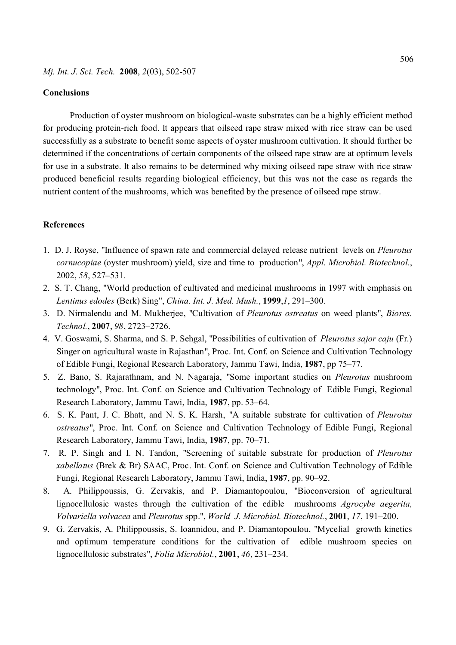# **Conclusions**

Production of oyster mushroom on biological-waste substrates can be a highly efficient method for producing protein-rich food. It appears that oilseed rape straw mixed with rice straw can be used successfully as a substrate to benefit some aspects of oyster mushroom cultivation. It should further be determined if the concentrations of certain components of the oilseed rape straw are at optimum levels for use in a substrate. It also remains to be determined why mixing oilseed rape straw with rice straw produced beneficial results regarding biological efficiency, but this was not the case as regards the nutrient content of the mushrooms, which was benefited by the presence of oilseed rape straw.

# **References**

- 1. D. J. Royse, "Influence of spawn rate and commercial delayed release nutrient levels on *Pleurotus cornucopiae* (oyster mushroom) yield, size and time to production", *Appl. Microbiol. Biotechnol.*, 2002, *58*, 527–531.
- 2. S. T. Chang, "World production of cultivated and medicinal mushrooms in 1997 with emphasis on *Lentinus edodes* (Berk) Sing", *China. Int. J. Med. Mush.*, **1999**,*1*, 291–300.
- 3. D. Nirmalendu and M. Mukherjee, "Cultivation of *Pleurotus ostreatus* on weed plants", *Biores. Technol.*, **2007**, *98*, 2723–2726.
- 4. V. Goswami, S. Sharma, and S. P. Sehgal, "Possibilities of cultivation of *Pleurotus sajor caju* (Fr.) Singer on agricultural waste in Rajasthan", Proc. Int. Conf. on Science and Cultivation Technology of Edible Fungi, Regional Research Laboratory, Jammu Tawi, India, **1987**, pp 75–77.
- 5. Z. Bano, S. Rajarathnam, and N. Nagaraja, "Some important studies on *Pleurotus* mushroom technology", Proc. Int. Conf. on Science and Cultivation Technology of Edible Fungi, Regional Research Laboratory, Jammu Tawi, India, **1987**, pp. 53–64.
- 6. S. K. Pant, J. C. Bhatt, and N. S. K. Harsh, "A suitable substrate for cultivation of *Pleurotus ostreatus*", Proc. Int. Conf. on Science and Cultivation Technology of Edible Fungi, Regional Research Laboratory, Jammu Tawi, India, **1987**, pp. 70–71.
- 7. R. P. Singh and I. N. Tandon, "Screening of suitable substrate for production of *Pleurotus xabellatus* (Brek & Br) SAAC, Proc. Int. Conf. on Science and Cultivation Technology of Edible Fungi, Regional Research Laboratory, Jammu Tawi, India, **1987**, pp. 90–92.
- 8. A. Philippoussis, G. Zervakis, and P. Diamantopoulou, "Bioconversion of agricultural lignocellulosic wastes through the cultivation of the edible mushrooms *Agrocybe aegerita, Volvariella volvacea* and *Pleurotus* spp.", *World J. Microbiol. Biotechnol.*, **2001**, *17*, 191–200.
- 9. G. Zervakis, A. Philippoussis, S. Ioannidou, and P. Diamantopoulou, "Mycelial growth kinetics and optimum temperature conditions for the cultivation of edible mushroom species on lignocellulosic substrates", *Folia Microbiol.*, **2001**, *46*, 231–234.